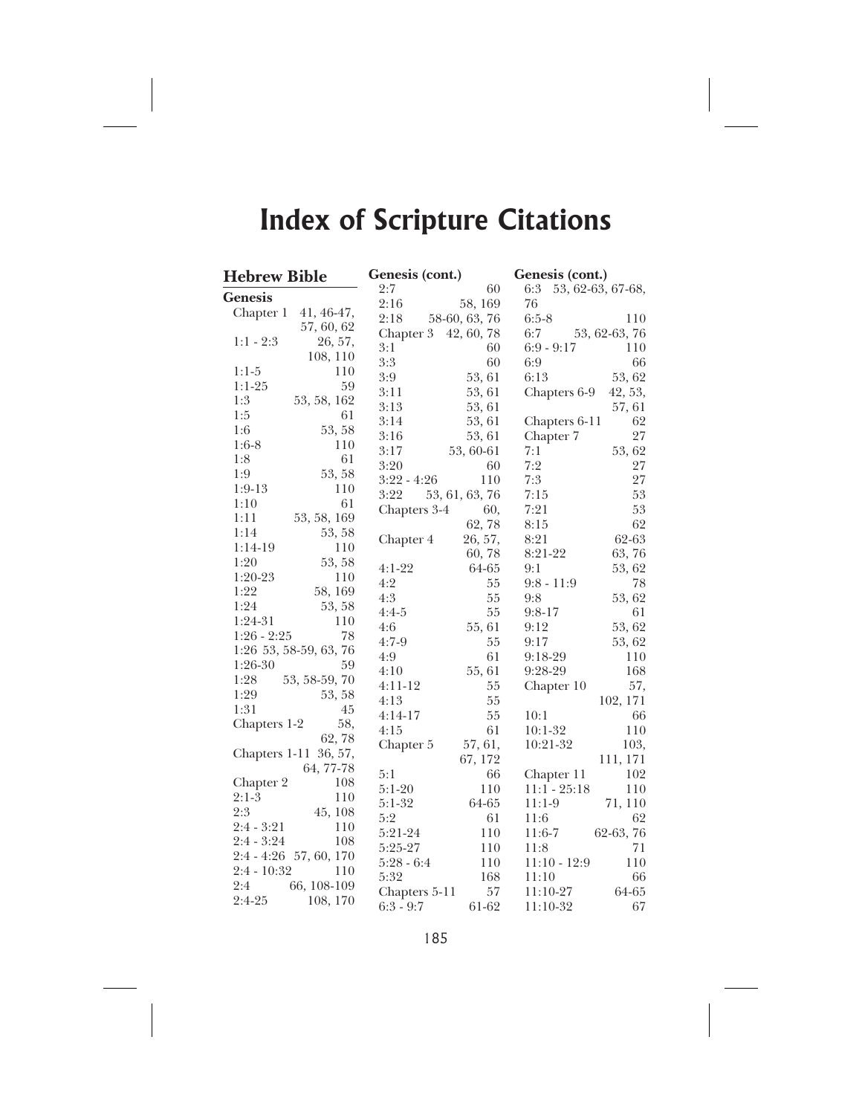| Genesis (cont.)<br><b>Hebrew Bible</b> |                      | Genesis (cont.)       |
|----------------------------------------|----------------------|-----------------------|
| <b>Genesis</b>                         | 2:7<br>60            | 6:3 53, 62-63, 67-68, |
|                                        | 2:16<br>58, 169      | 76                    |
| Chapter 1<br>41, 46-47,                | 2:18 58-60, 63, 76   | $6:5-8$<br>110        |
| 57, 60, 62                             | Chapter 3 42, 60, 78 | 6:7<br>53, 62-63, 76  |
| $1:1 - 2:3$                            | 3:1                  | $6:9 - 9:17$          |
| 26, 57,                                | 60                   | 110                   |
| 108, 110<br>$1:1-5$<br>110             | $3:3$<br>60          | 66<br>6:9             |
| 59                                     | 3:9                  | 53, 62                |
| $1:1-25$                               | 53, 61               | 6:13                  |
| 1:3                                    | 3:11                 | Chapters 6-9          |
| 53, 58, 162                            | 53, 61               | 42, 53,               |
| 1:5<br>61                              | 3:13<br>53, 61       | 57, 61                |
|                                        | 3:14<br>53, 61       | Chapters 6-11<br>62   |
| 53, 58                                 | 3:16                 | 27                    |
| 1:6                                    | 53, 61               | Chapter 7             |
| 110                                    | 3:17                 | 53, 62                |
| $1:6-8$                                | 53, 60-61            | 7:1                   |
| 1:8                                    | 3:20                 | 7:2                   |
| 61                                     | 60                   | 27                    |
| 53, 58                                 | $3:22 - 4:26$        | 7:3                   |
| 1:9                                    | 110                  | $27\,$                |
| $1:9-13$                               | 53, 61, 63, 76       | 7:15                  |
| 110                                    | 3:22                 | 53                    |
| 1:10                                   | Chapters 3-4         | 7:21                  |
| 61                                     | 60,                  | $53\,$                |
| 1:11<br>53, 58, 169                    | 62,78                | 62<br>8:15            |
| 1:14                                   | 26, 57,              | 8:21                  |
| 53, 58                                 | Chapter 4            | 62-63                 |
| $1:14-19$<br>110                       | 60,78                | 63,76<br>8:21-22      |
| 1:20                                   | $4:1-22$             | 9:1                   |
| 53, 58                                 | 64-65                | 53, 62                |
| 1:20-23                                | 4:2                  | 78                    |
| 110                                    | 55                   | $9:8 - 11:9$          |
| 1:22                                   | 4:3                  | 53, 62                |
| 58, 169                                | 55                   | 9:8                   |
| 1:24                                   | 55                   | $9:8-17$              |
| 53, 58                                 | $4:4-5$              | 61                    |
| $1:24-31$                              | 4:6                  | 53, 62                |
| 110                                    | 55, 61               | 9:12                  |
| $1:26 - 2:25$                          | $4:7-9$              | 9:17                  |
| 78                                     | 55                   | 53, 62                |
| 1:26 53, 58-59, 63, 76                 | 61<br>4:9            | 110<br>$9:18-29$      |
| $1:26-30$                              | 4:10                 | 168                   |
| 59                                     | 55, 61               | 9:28-29               |
| 53, 58-59, 70                          | $4:11-12$            | Chapter 10            |
| 1:28                                   | 55                   | 57,                   |
| 1:29<br>53, 58                         | 55<br>4:13           | 102, 171              |
| 1:31                                   | 55                   | 10:1                  |
| 45                                     | $4:14-17$            | 66                    |
| 58,                                    | 61                   | $10:1-32$             |
| Chapters 1-2                           | 4:15                 | 110                   |
| 62,78                                  | Chapter 5<br>57, 61, | 10:21-32<br>103,      |
| Chapters 1-11 36, 57,                  | 67, 172              | 111, 171              |
| 64, 77-78                              | 5:1<br>66            | 102<br>Chapter 11     |
| 108                                    | $5:1-20$             | $11:1 - 25:18$        |
| Chapter 2                              | 110                  | 110                   |
| $2:1-3$                                | 64-65                | 71, 110               |
| 110                                    | $5:1-32$             | $11:1-9$              |
| 2:3                                    | 5:2                  | 11:6                  |
| 45, 108                                | 61                   | 62                    |
| $2:4 - 3:21$                           | 5:21-24              | 62-63, 76             |
| 110                                    | 110                  | $11:6-7$              |
| $2:4 - 3:24$                           | 5:25-27              | 71                    |
| 108                                    | 110                  | 11:8                  |
| 2:4 - 4:26 57, 60, 170                 | $5:28 - 6:4$<br>110  | 110<br>$11:10 - 12:9$ |
| 2:4 - 10:32                            | 5:32                 | 11:10                 |
| 110                                    | 168                  | 66                    |
| 2:4                                    | 57                   | 64-65                 |
| 66, 108-109                            | Chapters 5-11        | $11:10-27$            |
| $2:4-25$                               | 61-62                | 67                    |
| 108, 170                               | $6:3 - 9:7$          | $11:10-32$            |

185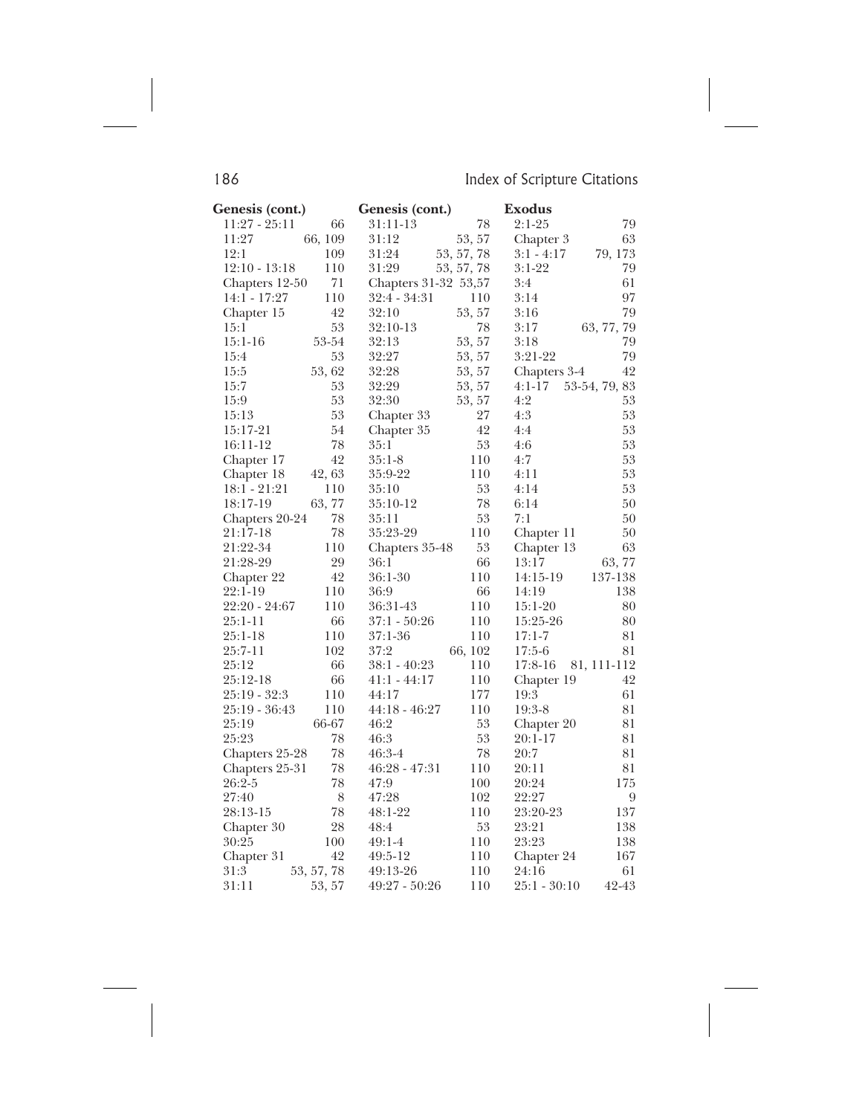| Genesis (cont.) |            | Genesis (cont.)      |            | <b>Exodus</b> |                  |
|-----------------|------------|----------------------|------------|---------------|------------------|
| $11:27 - 25:11$ | 66         | 31:11-13             | 78         | $2:1-25$      | 79               |
| 11:27           | 66, 109    | 31:12                | 53, 57     | Chapter 3     | 63               |
| 12:1            | 109        | 31:24                | 53, 57, 78 | $3:1 - 4:17$  | 79, 173          |
| $12:10 - 13:18$ | 110        | 31:29                | 53, 57, 78 | $3:1-22$      | 79               |
| Chapters 12-50  | 71         | Chapters 31-32 53,57 |            | 3:4           | 61               |
| 14:1 - 17:27    | 110        | 32:4 - 34:31         | 110        | 3:14          | 97               |
| Chapter 15      | 42         | 32:10                | 53, 57     | 3:16          | 79               |
| 15:1            | 53         | 32:10-13             | 78         | 3:17          | 63, 77, 79       |
| $15:1 - 16$     | 53-54      | 32:13                | 53, 57     | 3:18          | 79               |
| 15:4            | 53         | 32:27                | 53, 57     | $3:21-22$     | 79               |
| 15:5            | 53, 62     | 32:28                | 53, 57     | Chapters 3-4  | 42               |
| 15:7            | 53         | 32:29                | 53, 57     | $4:1-17$      | 53-54, 79, 83    |
| 15:9            | 53         | 32:30                | 53, 57     | 4:2           | 53               |
| 15:13           | 53         | Chapter 33           | 27         | 4:3           | 53               |
| 15:17-21        | 54         | Chapter 35           | 42         | 4:4           | 53               |
| 16:11-12        | 78         | 35:1                 | 53         | 4:6           | 53               |
| Chapter 17      | 42         | $35:1-8$             | 110        | 4:7           | 53               |
| Chapter 18      | 42, 63     | 35:9-22              | 110        | 4:11          | 53               |
| 18:1 - 21:21    | 110        | 35:10                | 53         | 4:14          | 53               |
| 18:17-19        | 63,77      | 35:10-12             | 78         | 6:14          | 50               |
| Chapters 20-24  | 78         | 35:11                | 53         | 7:1           | 50               |
| 21:17-18        | 78         | 35:23-29             | 110        | Chapter 11    | 50               |
| 21:22-34        | 110        | Chapters 35-48       | $53\,$     | Chapter 13    | 63               |
| 21:28-29        | 29         | 36:1                 | 66         | 13:17         | 63,77            |
| Chapter 22      | 42         | $36:1-30$            | 110        | 14:15-19      | 137-138          |
| 22:1-19         | 110        | 36:9                 | 66         | 14:19         | 138              |
| 22:20 - 24:67   | 110        | 36:31-43             | 110        | $15:1-20$     | 80               |
| 25:1-11         | 66         | 37:1 - 50:26         | 110        | 15:25-26      | 80               |
| $25:1-18$       | 110        | 37:1-36              | 110        | $17:1 - 7$    | 81               |
| 25:7-11         | 102        | 37:2                 | 66, 102    | $17:5-6$      | 81               |
| 25:12           | 66         | $38:1 - 40:23$       | 110        | 17:8-16       | 81, 111-112      |
| 25:12-18        | 66         | $41:1 - 44:17$       | 110        | Chapter 19    | 42               |
| 25:19 - 32:3    | 110        | 44:17                | 177        | 19:3          | 61               |
| 25:19 - 36:43   | 110        | $44:18 - 46:27$      | 110        | $19:3-8$      | $8\sqrt{1}$      |
| 25:19           | 66-67      | 46:2                 | 53         | Chapter 20    | 81               |
| 25:23           | 78         | 46:3                 | 53         | $20:1 - 17$   | 81               |
| Chapters 25-28  | 78         | $46:3-4$             | 78         | 20:7          | 81               |
| Chapters 25-31  | 78         | $46:28 - 47:31$      | 110        | 20:11         | 81               |
| 26:2-5          | 78         | 47:9                 | 100        | 20:24         | 175              |
| 27:40           | 8          | 47:28                | 102        | 22:27         | $\boldsymbol{9}$ |
| 28:13-15        | 78         | 48:1-22              | 110        | 23:20-23      | 137              |
| Chapter 30      | 28         | 48:4                 | 53         | 23:21         | 138              |
| 30:25           | 100        | $49:1-4$             | 110        | 23:23         | 138              |
| Chapter 31      | 42         | 49:5-12              | 110        | Chapter 24    | 167              |
| 31:3            | 53, 57, 78 | 49:13-26             | 110        | 24:16         | 61               |
| 31:11           | 53, 57     | $49:27 - 50:26$      | 110        | 25:1 - 30:10  | 42-43            |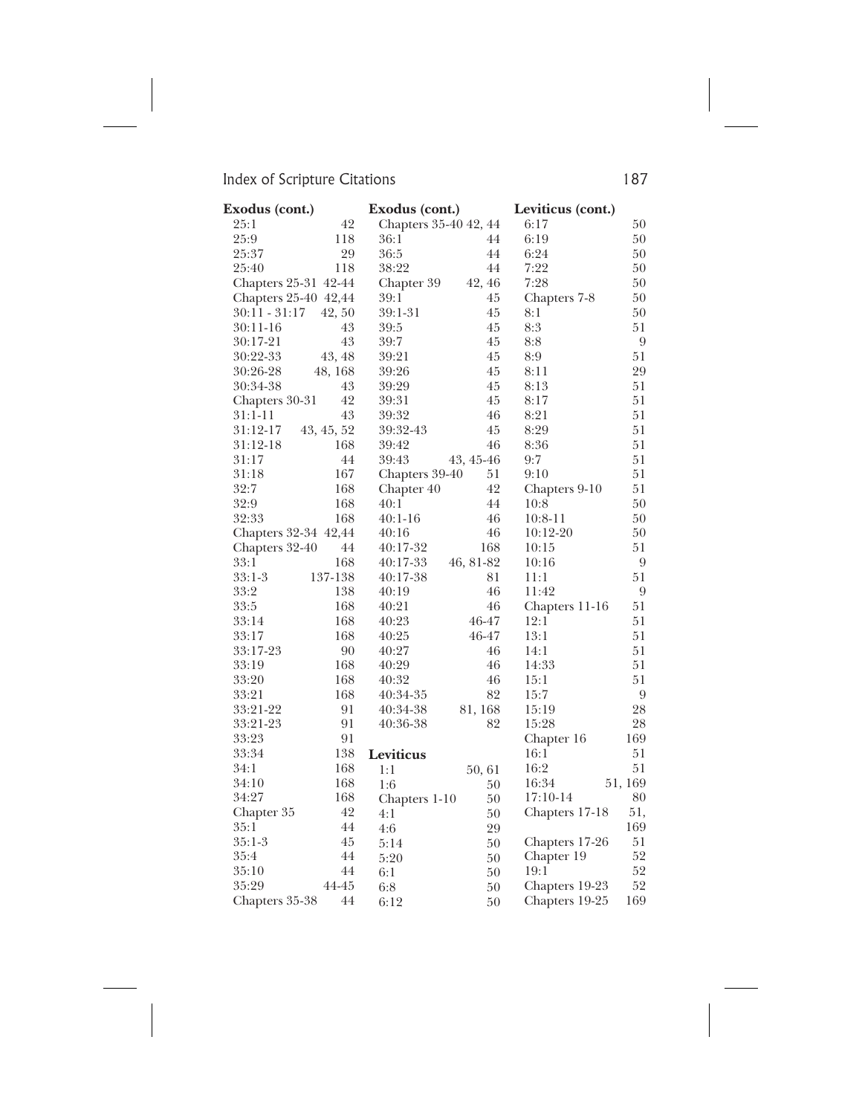| Exodus (cont.)  |                      | Exodus (cont.)        |           | Leviticus (cont.) |         |
|-----------------|----------------------|-----------------------|-----------|-------------------|---------|
| 25:1            | 42                   | Chapters 35-40 42, 44 |           | 6:17              | 50      |
| 25:9            | 118                  | 36:1                  | 44        | 6:19              | 50      |
| 25:37           | 29                   | 36:5                  | 44        | 6:24              | 50      |
| 25:40           | 118                  | 38:22                 | 44        | 7:22              | 50      |
|                 | Chapters 25-31 42-44 | Chapter 39            | 42, 46    | 7:28              | 50      |
|                 | Chapters 25-40 42,44 | 39:1                  | 45        | Chapters 7-8      | 50      |
| $30:11 - 31:17$ | 42, 50               | 39:1-31               | 45        | 8:1               | 50      |
| $30:11-16$      | 43                   | 39:5                  | 45        | 8:3               | 51      |
| 30:17-21        | 43                   | 39:7                  | 45        | 8:8               | 9       |
| 30:22-33        | 43, 48               | 39:21                 | 45        | 8:9               | 51      |
| 30:26-28        | 48, 168              | 39:26                 | 45        | 8:11              | 29      |
| 30:34-38        | 43                   | 39:29                 | 45        | 8:13              | 51      |
| Chapters 30-31  | 42                   | 39:31                 | 45        | 8:17              | 51      |
| 31:1-11         | 43                   | 39:32                 | 46        | 8:21              | 51      |
| 31:12-17        | 43, 45, 52           | 39:32-43              | 45        | 8:29              | 51      |
| 31:12-18        | 168                  | 39:42                 | 46        | 8:36              | 51      |
| 31:17           | 44                   | 39:43                 | 43, 45-46 | 9:7               | 51      |
| 31:18           | 167                  | Chapters 39-40        | 51        | 9:10              | 51      |
| 32:7            | 168                  | Chapter 40            | 42        | Chapters 9-10     | 51      |
| 32:9            | 168                  | 40:1                  | 44        | 10:8              | 50      |
| 32:33           | 168                  | $40:1-16$             | 46        | $10:8-11$         | 50      |
|                 | Chapters 32-34 42,44 | 40:16                 | 46        | $10:12-20$        | 50      |
| Chapters 32-40  | 44                   | 40:17-32              | 168       | 10:15             | 51      |
| 33:1            | 168                  | 40:17-33              | 46, 81-82 | 10:16             | 9       |
| 33:1-3          | 137-138              | 40:17-38              | 81        | 11:1              | 51      |
| 33:2            | 138                  | 40:19                 | 46        | 11:42             | 9       |
| 33:5            | 168                  | 40:21                 | 46        | Chapters 11-16    | 51      |
| 33:14           | 168                  | 40:23                 | 46-47     | 12:1              | 51      |
| 33:17           | 168                  | 40:25                 | 46-47     | 13:1              | 51      |
| 33:17-23        | 90                   | 40:27                 | 46        | 14:1              | 51      |
| 33:19           | 168                  | 40:29                 | 46        | 14:33             | 51      |
| 33:20           | 168                  | 40:32                 | 46        | 15:1              | 51      |
| 33:21           | 168                  | 40:34-35              | 82        | 15:7              | 9       |
| 33:21-22        | 91                   | 40:34-38              | 81, 168   | 15:19             | 28      |
| 33:21-23        | 91                   | 40:36-38              | 82        | 15:28             | 28      |
| 33:23           | 91                   |                       |           | Chapter 16        | 169     |
| 33:34           | 138                  | Leviticus             |           | 16:1              | 51      |
| 34:1            | 168                  | 1:1                   | 50,61     | 16:2              | 51      |
| 34:10           | 168                  | 1:6                   | 50        | 16:34             | 51, 169 |
| 34:27           | 168                  | Chapters 1-10         | 50        | 17:10-14          | 80      |
| Chapter 35      | 42                   | 4:1                   | 50        | Chapters 17-18    | 51,     |
| 35:1            | 44                   | 4:6                   | 29        |                   | 169     |
| $35:1-3$        | 45                   | 5:14                  | 50        | Chapters 17-26    | 51      |
| 35:4            | 44                   | 5:20                  | 50        | Chapter 19        | 52      |
| 35:10           | 44                   | 6:1                   | 50        | 19:1              | 52      |
| 35:29           | 44-45                | 6:8                   | 50        | Chapters 19-23    | 52      |
| Chapters 35-38  | 44                   | 6:12                  | 50        | Chapters 19-25    | 169     |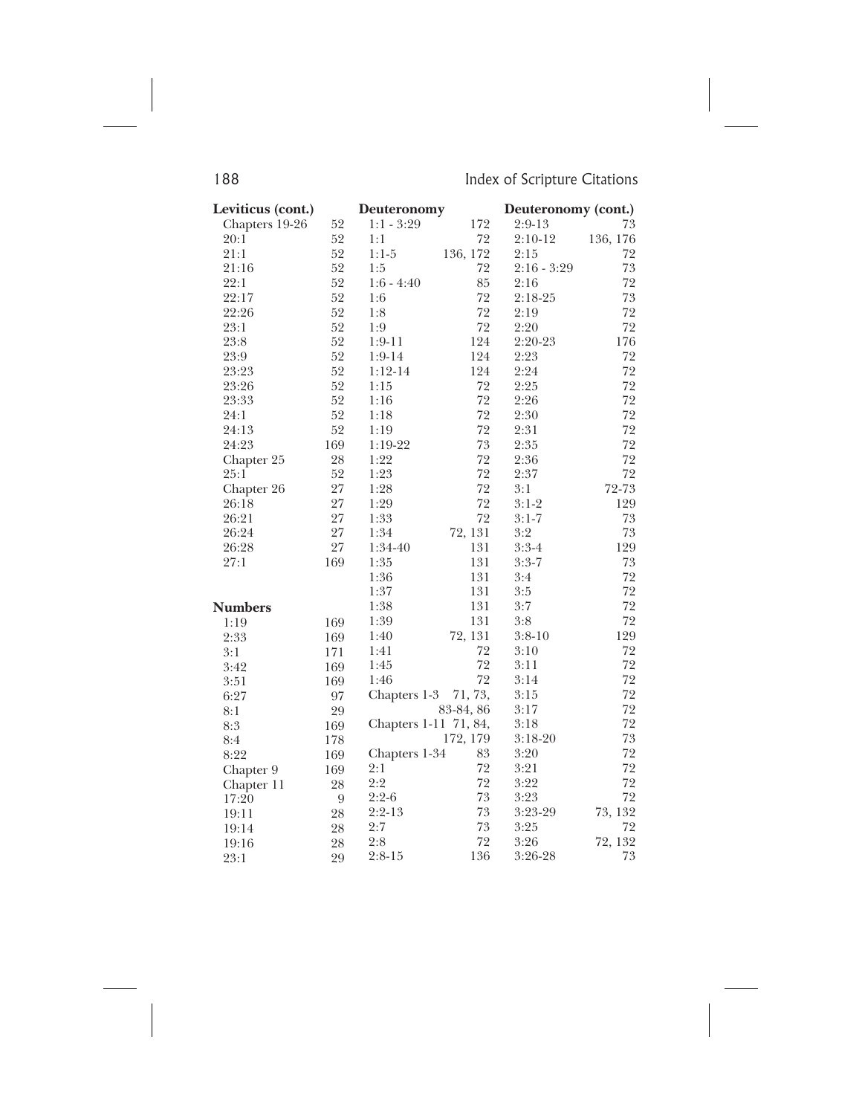| Leviticus (cont.) |     | Deuteronomy           |           | Deuteronomy (cont.) |          |
|-------------------|-----|-----------------------|-----------|---------------------|----------|
| Chapters 19-26    | 52  | $1:1 - 3:29$          | 172       | $2:9-13$            | 73       |
| 20:1              | 52  | 1:1                   | 72        | $2:10-12$           | 136, 176 |
| 21:1              | 52  | $1:1-5$               | 136, 172  | 2:15                | 72       |
| 21:16             | 52  | 1:5                   | 72        | $2:16 - 3:29$       | 73       |
| 22:1              | 52  | $1:6 - 4:40$          | 85        | 2:16                | 72       |
| 22:17             | 52  | 1:6                   | 72        | $2:18-25$           | 73       |
| 22:26             | 52  | $1:8$                 | 72        | 2:19                | 72       |
| 23:1              | 52  | 1:9                   | 72        | 2:20                | 72       |
| 23:8              | 52  | $1:9-11$              | 124       | 2:20-23             | 176      |
| 23:9              | 52  | $1:9-14$              | 124       | 2:23                | 72       |
| 23:23             | 52  | $1:12-14$             | 124       | 2:24                | 72       |
| 23:26             | 52  | 1:15                  | 72        | 2:25                | 72       |
| 23:33             | 52  | 1:16                  | 72        | 2:26                | 72       |
| 24:1              | 52  | 1:18                  | 72        | 2:30                | 72       |
| 24:13             | 52  | 1:19                  | 72        | 2:31                | 72       |
| 24:23             | 169 | $1:19-22$             | 73        | 2:35                | 72       |
| Chapter 25        | 28  | 1:22                  | 72        | 2:36                | 72       |
| 25:1              | 52  | 1:23                  | 72        | 2:37                | 72       |
| Chapter 26        | 27  | 1:28                  | 72        | 3:1                 | 72-73    |
| 26:18             | 27  | 1:29                  | 72        | $3:1-2$             | 129      |
| 26:21             | 27  | 1:33                  | 72        | $3:1 - 7$           | 73       |
| 26:24             | 27  | 1:34                  | 72, 131   | 3:2                 | 73       |
| 26:28             | 27  | 1:34-40               | 131       | $3:3-4$             | 129      |
| 27:1              | 169 | 1:35                  | 131       | $3:3-7$             | 73       |
|                   |     | 1:36                  | 131       | 3:4                 | 72       |
|                   |     | 1:37                  | 131       | 3:5                 | 72       |
| <b>Numbers</b>    |     | 1:38                  | 131       | 3:7                 | 72       |
| 1:19              | 169 | 1:39                  | 131       | 3:8                 | 72       |
| 2:33              | 169 | 1:40                  | 72, 131   | $3:8-10$            | 129      |
| 3:1               | 171 | 1:41                  | 72        | 3:10                | 72       |
| 3:42              | 169 | 1:45                  | 72        | 3:11                | 72       |
| 3:51              | 169 | 1:46                  | 72        | 3:14                | 72       |
| 6:27              | 97  | Chapters 1-3          | 71, 73,   | 3:15                | 72       |
| 8:1               | 29  |                       | 83-84, 86 | 3:17                | 72       |
| 8:3               | 169 | Chapters 1-11 71, 84, |           | 3:18                | 72       |
| 8:4               | 178 |                       | 172, 179  | $3:18-20$           | $73\,$   |
| 8:22              | 169 | Chapters 1-34         | 83        | 3:20                | 72       |
| Chapter 9         | 169 | 2:1                   | 72        | 3:21                | 72       |
| Chapter 11        | 28  | 2:2                   | 72        | 3:22                | 72       |
| 17:20             | 9   | $2:2-6$               | 73        | 3:23                | 72       |
| 19:11             | 28  | $2:2-13$              | 73        | 3:23-29             | 73, 132  |
| 19:14             | 28  | 2:7                   | 73        | 3:25                | 72       |
| 19:16             | 28  | 2:8                   | 72        | 3:26                | 72, 132  |
| 23:1              | 29  | $2:8-15$              | 136       | 3:26-28             | 73       |

 $\overline{\phantom{a}}$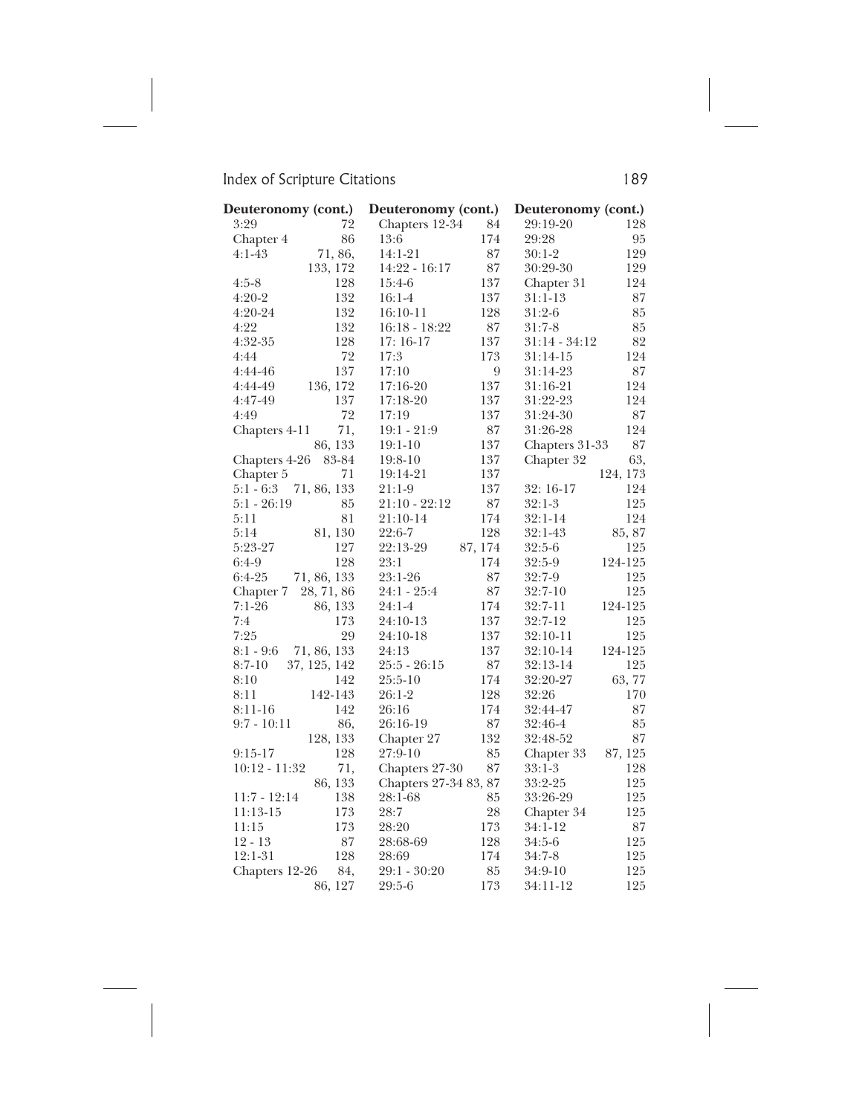| Deuteronomy (cont.)                     | Deuteronomy (cont.)            | Deuteronomy (cont.)                  |
|-----------------------------------------|--------------------------------|--------------------------------------|
| 3:29<br>72                              | Chapters 12-34                 | 84<br>29:19-20<br>128                |
| 86<br>Chapter 4                         | 174<br>13:6                    | 95<br>29:28                          |
| $4:1-43$<br>71, 86,                     | $14:1-21$                      | 87<br>129<br>$30:1-2$                |
| 133, 172                                | 14:22 - 16:17                  | $87\,$<br>30:29-30<br>129            |
| 128<br>$4:5-8$                          | 137<br>15:4-6                  | 124<br>Chapter 31                    |
| 132<br>$4:20-2$                         | 137<br>$16:1-4$                | $31:1-13$<br>87                      |
| 4:20-24<br>132                          | 128<br>16:10-11                | $31:2-6$<br>85                       |
| 132<br>4:22                             | $16:18 - 18:22$                | $87\,$<br>$31:7-8$<br>85             |
| 128<br>4:32-35                          | 137<br>$17:16-17$              | 82<br>$31:14 - 34:12$                |
| 72<br>4:44                              | 17:3<br>173                    | 124<br>$31:14-15$                    |
| 137<br>4:44-46                          | 17:10                          | 9<br>87<br>$31:14-23$                |
| 136, 172<br>4:44-49                     | 137<br>$17:16-20$              | 124<br>31:16-21                      |
| 137<br>4:47-49                          | 137<br>17:18-20                | 124<br>31:22-23                      |
| 72<br>4:49                              | 137<br>17:19                   | 87<br>31:24-30                       |
| 71,<br>Chapters 4-11                    | $19:1 - 21:9$                  | $87\,$<br>31:26-28<br>124            |
| 86, 133                                 | 137<br>$19:1-10$               | 87<br>Chapters 31-33                 |
| 83-84<br>Chapters 4-26                  | 137<br>$19:8-10$               | 63,<br>Chapter 32                    |
| 71<br>Chapter 5                         | 19:14-21<br>137                | 124, 173                             |
| $5:1 - 6:3$ 71, 86, 133                 | 137<br>21:1-9                  | 124<br>32: 16-17                     |
| $5:1 - 26:19$<br>85                     | 21:10 - 22:12                  | 87<br>125<br>$32:1-3$                |
| 81<br>5:11                              | 174<br>21:10-14                | $32:1-14$<br>124                     |
| 81, 130<br>5:14                         | 128<br>22:6-7                  | 85, 87<br>$32:1-43$                  |
| 127<br>5:23-27                          | 22:13-29<br>87, 174            | 125<br>$32:5-6$                      |
| 128<br>$6:4-9$                          | 174<br>23:1                    | 124-125<br>$32:5-9$                  |
| $6:4-25$<br>71, 86, 133                 | 23:1-26                        | 87<br>125<br>$32:7-9$                |
| Chapter 7<br>28, 71, 86                 | 24:1 - 25:4                    | 87<br>$32:7-10$<br>125               |
| $7:1-26$<br>86, 133                     | 174<br>24:1-4                  | 124-125<br>32:7-11                   |
| 7:4<br>173                              | 137<br>24:10-13                | 32:7-12<br>125                       |
| 7:25<br>29                              | 137<br>24:10-18                | 125<br>32:10-11                      |
| 71, 86, 133<br>8:1 - 9:6                | 24:13<br>137                   | 124-125<br>32:10-14<br>$87\,$        |
| $8:7-10$<br>37, 125, 142<br>8:10<br>142 | 25:5 - 26:15<br>174<br>25:5-10 | 125<br>32:13-14<br>63,77<br>32:20-27 |
| 8:11<br>142-143                         | 128<br>$26:1-2$                | 170<br>32:26                         |
| 142<br>$8:11-16$                        | 174<br>26:16                   | 87<br>32:44-47                       |
| $9:7 - 10:11$<br>86,                    | 26:16-19                       | $87\,$<br>32:46-4<br>85              |
| 128, 133                                | 132<br>Chapter 27              | 87<br>32:48-52                       |
| 128<br>$9:15-17$                        | 27:9-10                        | 85<br>87, 125<br>Chapter 33          |
| 10:12 - 11:32<br>71,                    | Chapters 27-30                 | 87<br>$33:1-3$<br>128                |
| 86, 133                                 | Chapters 27-34 83, 87          | 125<br>33:2-25                       |
| $11:7 - 12:14$<br>138                   | 28:1-68                        | 85<br>33:26-29<br>125                |
| 173<br>11:13-15                         | 28:7                           | $\sqrt{28}$<br>125<br>Chapter 34     |
| 173<br>11:15                            | 173<br>28:20                   | 87<br>34:1-12                        |
| 87<br>$12 - 13$                         | 128<br>28:68-69                | 125<br>$34:5-6$                      |
| 128<br>12:1-31                          | 174<br>28:69                   | 34:7-8<br>125                        |
| Chapters 12-26<br>84,                   | 29:1 - 30:20                   | $85\,$<br>125<br>$34:9-10$           |
| 86, 127                                 | 173<br>29:5-6                  | 125<br>34:11-12                      |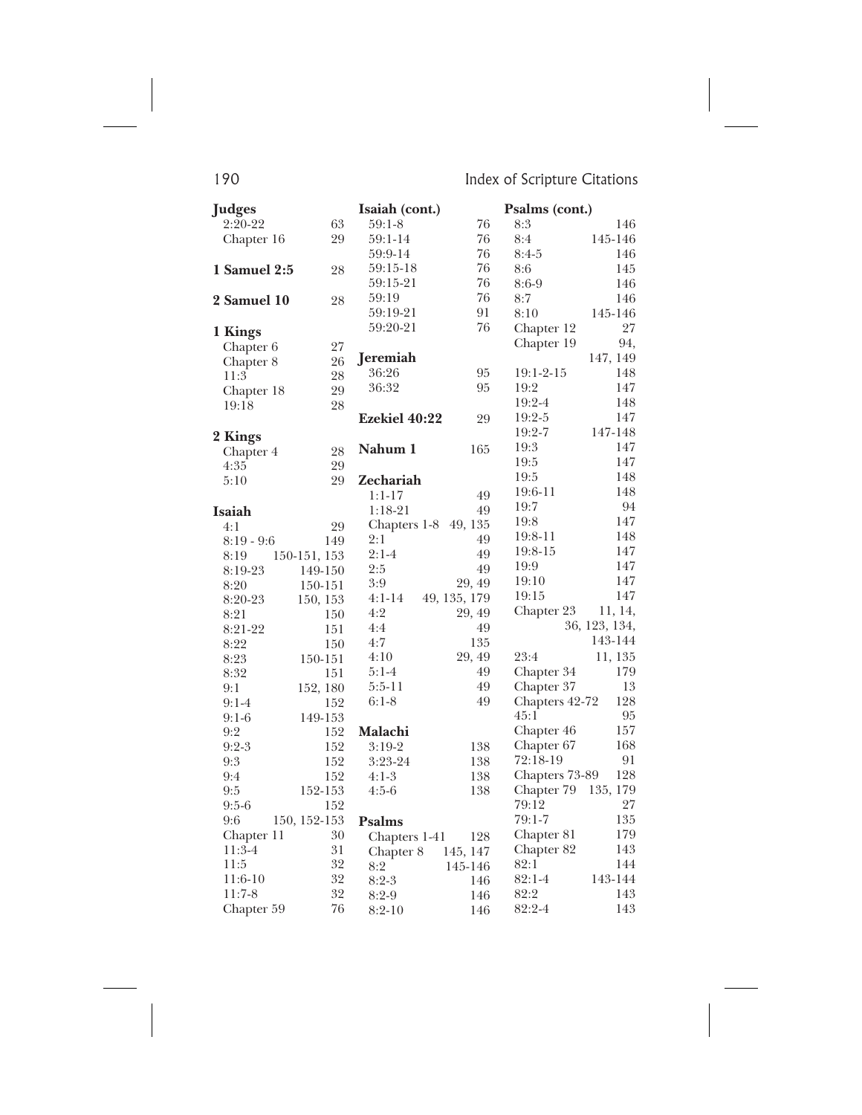| <b>Judges</b> |              | Isaiah (cont.)       |              | Psalms (cont.) |               |
|---------------|--------------|----------------------|--------------|----------------|---------------|
| $2:20-22$     | 63           | $59:1-8$             | 76           | 8:3            | 146           |
| Chapter 16    | 29           | 59:1-14              | 76           | 8:4            | 145-146       |
|               |              | 59:9-14              | 76           | $8:4-5$        | 146           |
| 1 Samuel 2:5  | 28           | 59:15-18             | 76           | 8:6            | 145           |
|               |              | 59:15-21             | 76           | $8:6-9$        | 146           |
| 2 Samuel 10   | 28           | 59:19                | 76           | 8:7            | 146           |
|               |              | 59:19-21             | 91           | 8:10           | 145-146       |
| 1 Kings       |              | 59:20-21             | 76           | Chapter 12     | 27            |
| Chapter 6     | 27           |                      |              | Chapter 19     | 94,           |
| Chapter 8     | 26           | Jeremiah             |              |                | 147, 149      |
| 11:3          | 28           | 36:26                | 95           | 19:1-2-15      | 148           |
| Chapter 18    | 29           | 36:32                | 95           | 19:2           | 147           |
| 19:18         | 28           |                      |              | 19:2-4         | 148           |
|               |              | <b>Ezekiel 40:22</b> | 29           | 19:2-5         | 147           |
| 2 Kings       |              |                      |              | 19:2-7         | 147-148       |
| Chapter 4     | 28           | Nahum 1              | 165          | 19:3           | 147           |
| 4:35          | 29           |                      |              | 19:5           | 147           |
| 5:10          | 29           | Zechariah            |              | 19:5           | 148           |
|               |              | $1:1-17$             | 49           | 19:6-11        | 148           |
| Isaiah        |              | $1:18-21$            | 49           | 19:7           | 94            |
| 4:1           | 29           | Chapters 1-8 49, 135 |              | 19:8           | 147           |
| $8:19 - 9:6$  | 149          | 2:1                  | 49           | 19:8-11        | 148           |
| 8:19          | 150-151, 153 | $2:1-4$              | 49           | 19:8-15        | 147           |
| 8:19-23       | 149-150      | 2:5                  | 49           | 19:9           | 147           |
| 8:20          | 150-151      | 3:9                  | 29, 49       | 19:10          | 147           |
| 8:20-23       | 150, 153     | $4:1-14$             | 49, 135, 179 | 19:15          | 147           |
| 8:21          | 150          | 4:2                  | 29, 49       | Chapter 23     | 11, 14,       |
| 8:21-22       | 151          | 4:4                  | 49           |                | 36, 123, 134, |
| 8:22          | 150          | 4:7                  | 135          |                | 143-144       |
| 8:23          | 150-151      | 4:10                 | 29, 49       | 23:4           | 11, 135       |
| 8:32          | 151          | $5:1-4$              | 49           | Chapter 34     | 179           |
| 9:1           | 152, 180     | $5:5-11$             | 49           | Chapter 37     | 13            |
| $9:1-4$       | 152          | $6:1-8$              | 49           | Chapters 42-72 | 128           |
| $9:1-6$       | 149-153      |                      |              | 45:1           | 95            |
| 9:2           | 152          | Malachi              |              | Chapter 46     | 157           |
| $9:2-3$       | 152          | $3:19-2$             | 138          | Chapter 67     | 168           |
| 9:3           | 152          | 3:23-24              | 138          | 72:18-19       | 91            |
| 9:4           | 152          | $4:1-3$              | 138          | Chapters 73-89 | 128           |
| 9:5           | 152-153      | $4:5-6$              | 138          | Chapter 79     | 135, 179      |
| $9:5-6$       | 152          |                      |              | 79:12          | 27            |
| 9:6           | 150, 152-153 | <b>Psalms</b>        |              | $79:1 - 7$     | 135           |
| Chapter 11    | 30           | Chapters 1-41        | 128          | Chapter 81     | 179           |
| $11:3-4$      | 31           | Chapter 8            | 145, 147     | Chapter 82     | 143           |
| 11:5          | 32           | 8:2                  | 145-146      | 82:1           | 144           |
| $11:6-10$     | 32           | $8:2-3$              | 146          | $82:1 - 4$     | 143-144       |
| $11:7-8$      | 32           | $8:2-9$              | 146          | 82:2           | 143           |
| Chapter 59    | 76           | $8:2-10$             | 146          | 82:2-4         | 143           |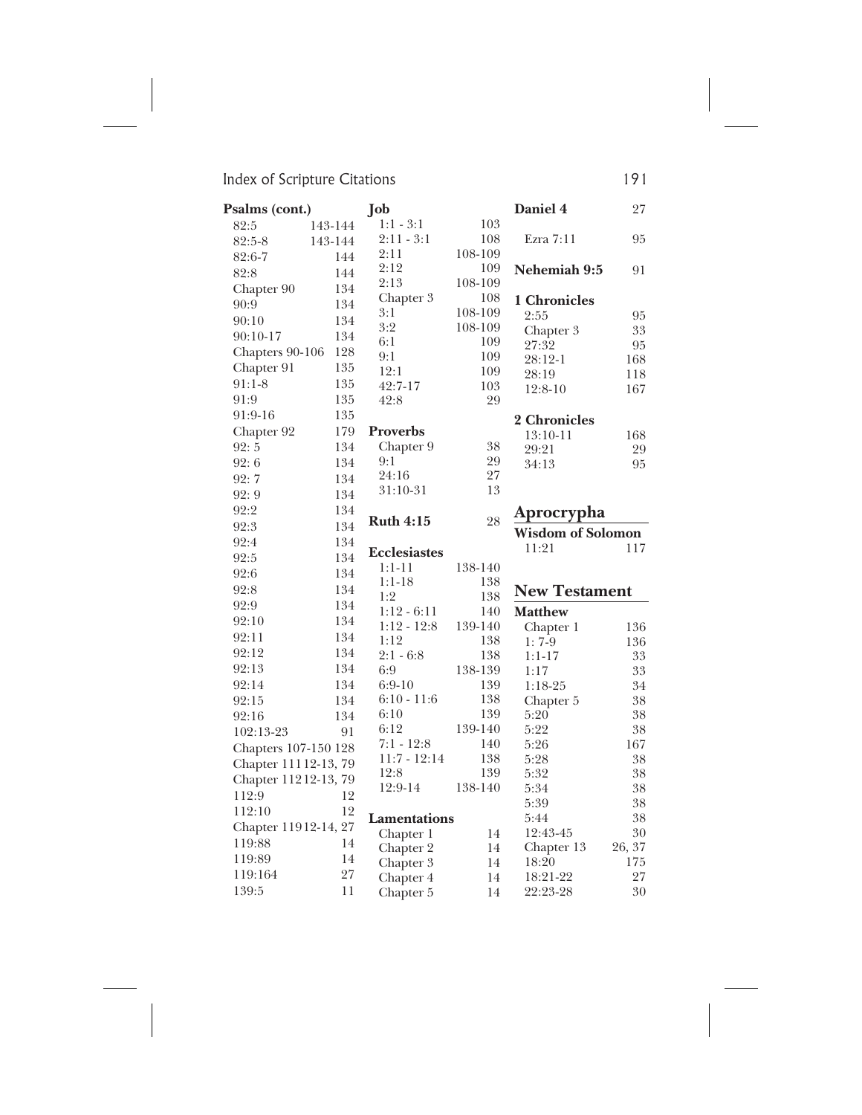| Psalms (cont.)       |              | Job                    |            | Daniel 4                 | 27        |
|----------------------|--------------|------------------------|------------|--------------------------|-----------|
| 82:5                 | 143-144      | $1:1 - 3:1$            | 103        |                          |           |
| 82:5-8               | 143-144      | $2:11 - 3:1$           | 108        | Ezra 7:11                | 95        |
| 82:6-7               | 144          | 2:11                   | 108-109    |                          |           |
| 82:8                 | 144          | 2:12                   | 109        | Nehemiah 9:5             | 91        |
| Chapter 90           | 134          | 2:13                   | 108-109    |                          |           |
| 90:9                 | 134          | Chapter 3              | 108        | 1 Chronicles             |           |
| 90:10                | 134          | 3:1                    | 108-109    | 2:55                     | 95        |
| 90:10-17             | 134          | 3:2                    | 108-109    | Chapter 3                | 33        |
| Chapters 90-106      | 128          | 6:1<br>9:1             | 109<br>109 | 27:32                    | 95        |
| Chapter 91           | 135          | 12:1                   | 109        | 28:12-1                  | 168       |
| $91:1-8$             | 135          | 42:7-17                | 103        | 28:19                    | 118       |
| 91:9                 | 135          | 42:8                   | 29         | $12:8-10$                | 167       |
| 91:9-16              | 135          |                        |            |                          |           |
| Chapter 92           | 179          | <b>Proverbs</b>        |            | 2 Chronicles             |           |
| 92:5                 | 134          | Chapter 9              | 38         | $13:10-11$<br>29:21      | 168<br>29 |
| 92:6                 | 134          | 9:1                    | 29         | 34:13                    | 95        |
| 92:7                 | 134          | 24:16                  | 27         |                          |           |
| 92:9                 | 134          | 31:10-31               | 13         |                          |           |
| 92:2                 | 134          |                        |            |                          |           |
| 92:3                 | 134          | <b>Ruth 4:15</b>       | 28         | Aprocrypha               |           |
| 92:4                 | 134          |                        |            | <b>Wisdom of Solomon</b> |           |
|                      |              |                        |            |                          |           |
|                      |              | <b>Ecclesiastes</b>    |            | 11:21                    | 117       |
| 92:5                 | 134          | 1:1-11                 | 138-140    |                          |           |
| 92:6                 | 134          | $1:1-18$               | 138        |                          |           |
| 92:8                 | 134          | 1:2                    | 138        | <b>New Testament</b>     |           |
| 92:9                 | 134          | $1:12 - 6:11$          | 140        | <b>Matthew</b>           |           |
| 92:10                | 134          | $1:12 - 12:8$          | 139-140    | Chapter 1                | 136       |
| 92:11                | 134          | 1:12                   | 138        | $1:7-9$                  | 136       |
| 92:12                | 134          | $2:1 - 6:8$            | 138        | $1:1-17$                 | 33        |
| 92:13                | 134          | 6:9                    | 138-139    | 1:17                     | 33        |
| 92:14                | 134          | $6:9-10$               | 139        | $1:18-25$                | 34        |
| 92:15                | 134          | $6:10 - 11:6$          | 138        | Chapter 5                | 38        |
| 92:16                | 134          | 6:10                   | 139        | 5:20                     | 38        |
| 102:13-23            | 91           | 6:12                   | 139-140    | 5:22                     | 38        |
| Chapters 107-150 128 |              | $7:1 - 12:8$           | 140        | 5:26                     | 167       |
| Chapter 11112-13, 79 |              | $11:7 - 12:14$<br>12:8 | 138<br>139 | 5:28<br>5:32             | 38<br>38  |
| Chapter 11212-13, 79 |              | 12:9-14                | 138-140    | 5:34                     | 38        |
| 112:9                | 12           |                        |            | 5:39                     | 38        |
| 112:10               | 12           | <b>Lamentations</b>    |            | 5:44                     | 38        |
| Chapter 11912-14, 27 |              | Chapter 1              | 14         | 12:43-45                 | 30        |
| 119:88               | 14           | Chapter 2              | 14         | Chapter 13               | 26, 37    |
| 119:89               | 14           | Chapter 3              | 14         | 18:20                    | 175       |
| 119:164<br>139:5     | $27\,$<br>11 | Chapter 4              | 14<br>14   | 18:21-22<br>22:23-28     | 27<br>30  |